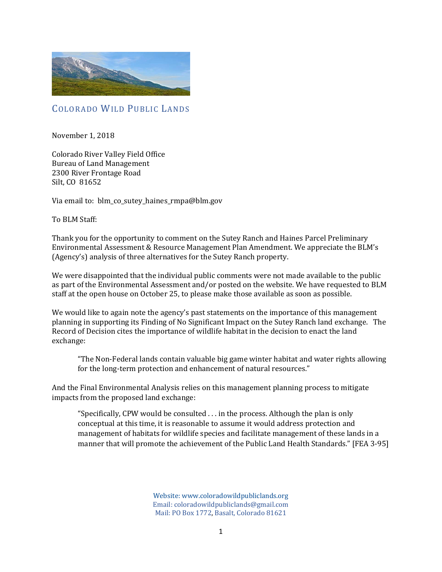

# COLORADO WILD PUBLIC LANDS

November 1, 2018

Colorado River Valley Field Office Bureau of Land Management 2300 River Frontage Road Silt, CO 81652

Via email to: blm\_co\_sutey\_haines\_rmpa@blm.gov

To BLM Staff:

Thank you for the opportunity to comment on the Sutey Ranch and Haines Parcel Preliminary Environmental Assessment & Resource Management Plan Amendment. We appreciate the BLM's (Agency's) analysis of three alternatives for the Sutey Ranch property.

We were disappointed that the individual public comments were not made available to the public as part of the Environmental Assessment and/or posted on the website. We have requested to BLM staff at the open house on October 25, to please make those available as soon as possible.

We would like to again note the agency's past statements on the importance of this management planning in supporting its Finding of No Significant Impact on the Sutey Ranch land exchange. The Record of Decision cites the importance of wildlife habitat in the decision to enact the land exchange:

"The Non-Federal lands contain valuable big game winter habitat and water rights allowing for the long-term protection and enhancement of natural resources."

And the Final Environmental Analysis relies on this management planning process to mitigate impacts from the proposed land exchange:

"Specifically, CPW would be consulted . . . in the process. Although the plan is only conceptual at this time, it is reasonable to assume it would address protection and management of habitats for wildlife species and facilitate management of these lands in a manner that will promote the achievement of the Public Land Health Standards." [FEA 3-95]

> Website: www.coloradowildpubliclands.org Email: coloradowildpubliclands@gmail.com Mail: PO Box 1772, Basalt, Colorado 81621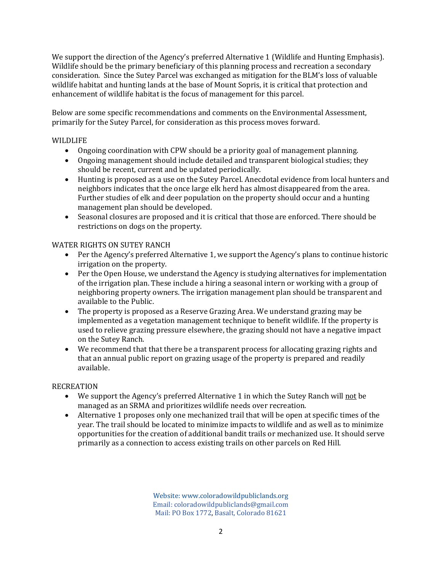We support the direction of the Agency's preferred Alternative 1 (Wildlife and Hunting Emphasis). Wildlife should be the primary beneficiary of this planning process and recreation a secondary consideration. Since the Sutey Parcel was exchanged as mitigation for the BLM's loss of valuable wildlife habitat and hunting lands at the base of Mount Sopris, it is critical that protection and enhancement of wildlife habitat is the focus of management for this parcel.

Below are some specific recommendations and comments on the Environmental Assessment, primarily for the Sutey Parcel, for consideration as this process moves forward.

### WILDLIFE

- Ongoing coordination with CPW should be a priority goal of management planning.
- Ongoing management should include detailed and transparent biological studies; they should be recent, current and be updated periodically.
- Hunting is proposed as a use on the Sutey Parcel. Anecdotal evidence from local hunters and neighbors indicates that the once large elk herd has almost disappeared from the area. Further studies of elk and deer population on the property should occur and a hunting management plan should be developed.
- Seasonal closures are proposed and it is critical that those are enforced. There should be restrictions on dogs on the property.

#### WATER RIGHTS ON SUTEY RANCH

- Per the Agency's preferred Alternative 1, we support the Agency's plans to continue historic irrigation on the property.
- Per the Open House, we understand the Agency is studying alternatives for implementation of the irrigation plan. These include a hiring a seasonal intern or working with a group of neighboring property owners. The irrigation management plan should be transparent and available to the Public.
- The property is proposed as a Reserve Grazing Area. We understand grazing may be implemented as a vegetation management technique to benefit wildlife. If the property is used to relieve grazing pressure elsewhere, the grazing should not have a negative impact on the Sutey Ranch.
- We recommend that that there be a transparent process for allocating grazing rights and that an annual public report on grazing usage of the property is prepared and readily available.

#### **RECREATION**

- We support the Agency's preferred Alternative 1 in which the Sutey Ranch will not be managed as an SRMA and prioritizes wildlife needs over recreation.
- Alternative 1 proposes only one mechanized trail that will be open at specific times of the year. The trail should be located to minimize impacts to wildlife and as well as to minimize opportunities for the creation of additional bandit trails or mechanized use. It should serve primarily as a connection to access existing trails on other parcels on Red Hill.

Website: www.coloradowildpubliclands.org Email: coloradowildpubliclands@gmail.com Mail: PO Box 1772, Basalt, Colorado 81621